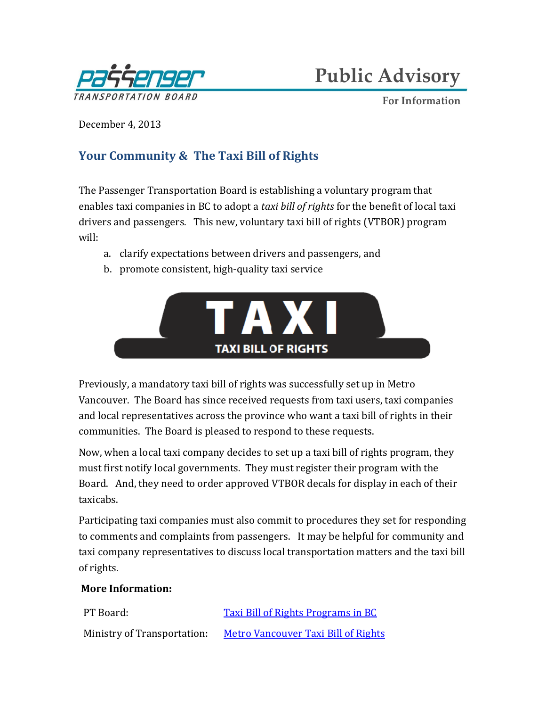

**Public Advisory**

**For Information**

December 4, 2013

## **Your Community & The Taxi Bill of Rights**

The Passenger Transportation Board is establishing a voluntary program that enables taxi companies in BC to adopt a *taxi bill of rights* for the benefit of local taxi drivers and passengers. This new, voluntary taxi bill of rights (VTBOR) program will:

- a. clarify expectations between drivers and passengers, and
- b. promote consistent, high-quality taxi service



Previously, a mandatory taxi bill of rights was successfully set up in Metro Vancouver. The Board has since received requests from taxi users, taxi companies and local representatives across the province who want a taxi bill of rights in their communities. The Board is pleased to respond to these requests.

Now, when a local taxi company decides to set up a taxi bill of rights program, they must first notify local governments. They must register their program with the Board. And, they need to order approved VTBOR decals for display in each of their taxicabs.

Participating taxi companies must also commit to procedures they set for responding to comments and complaints from passengers. It may be helpful for community and taxi company representatives to discuss local transportation matters and the taxi bill of rights.

## **More Information:**

| PT Board:                   | <b>Taxi Bill of Rights Programs in BC</b> |
|-----------------------------|-------------------------------------------|
| Ministry of Transportation: | Metro Vancouver Taxi Bill of Rights       |